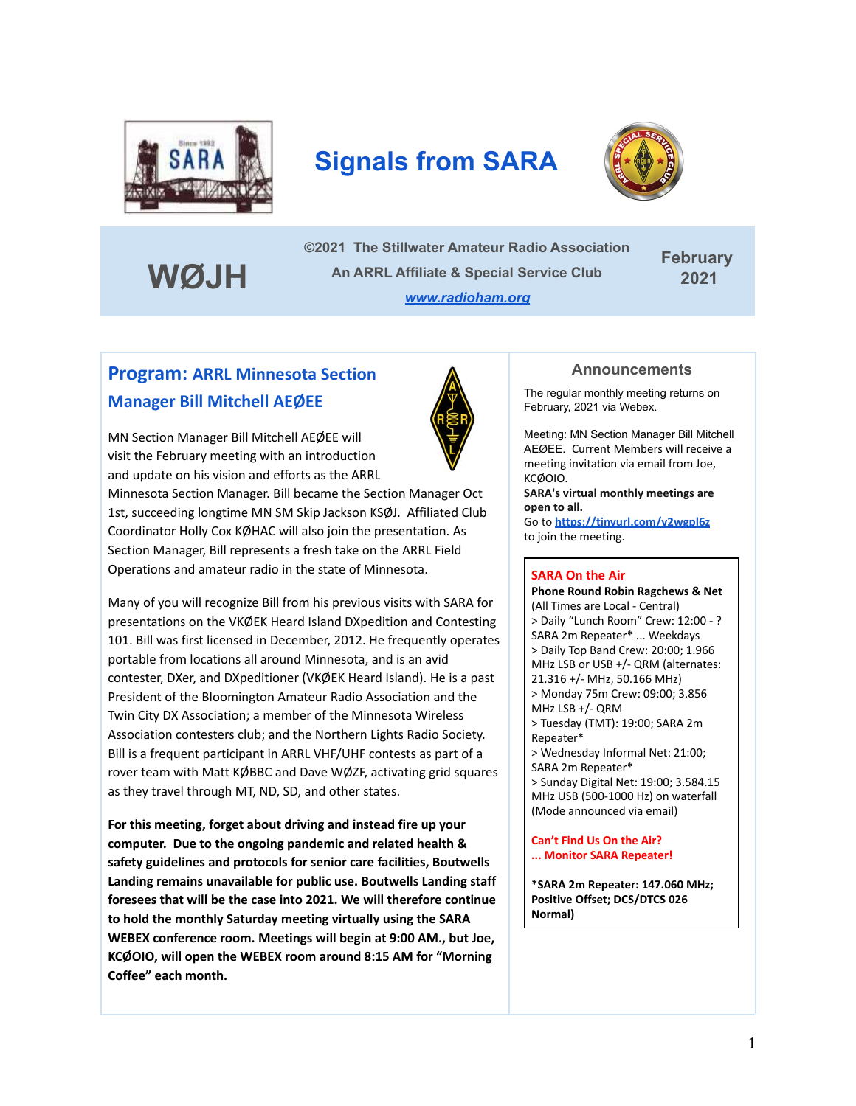

# **Signals from SARA**



**WØJH**

**©2021 The Stillwater Amateur Radio Association An ARRL Affiliate & Special Service Club** *[www.radioham.org](http://www.radioham.org/)*

**February 2021**

### **Program: ARRL Minnesota Section Manager Bill Mitchell AEØEE**

MN Section Manager Bill Mitchell AEØEE will visit the February meeting with an introduction and update on his vision and efforts as the ARRL

Minnesota Section Manager. Bill became the Section Manager Oct 1st, succeeding longtime MN SM Skip Jackson KSØJ. Affiliated Club Coordinator Holly Cox KØHAC will also join the presentation. As Section Manager, Bill represents a fresh take on the ARRL Field Operations and amateur radio in the state of Minnesota.

Many of you will recognize Bill from his previous visits with SARA for presentations on the VKØEK Heard Island DXpedition and Contesting 101. Bill was first licensed in December, 2012. He frequently operates portable from locations all around Minnesota, and is an avid contester, DXer, and DXpeditioner (VKØEK Heard Island). He is a past President of the Bloomington Amateur Radio Association and the Twin City DX Association; a member of the Minnesota Wireless Association contesters club; and the Northern Lights Radio Society. Bill is a frequent participant in ARRL VHF/UHF contests as part of a rover team with Matt KØBBC and Dave WØZF, activating grid squares as they travel through MT, ND, SD, and other states.

**For this meeting, forget about driving and instead fire up your computer. Due to the ongoing pandemic and related health & safety guidelines and protocols for senior care facilities, Boutwells Landing remains unavailable for public use. Boutwells Landing staff foresees that will be the case into 2021. We will therefore continue to hold the monthly Saturday meeting virtually using the SARA WEBEX conference room. Meetings will begin at 9:00 AM., but Joe, KCØOIO, will open the WEBEX room around 8:15 AM for "Morning Coffee" each month.**

#### **Announcements**

The regular monthly meeting returns on February, 2021 via Webex.

Meeting: MN Section Manager Bill Mitchell AEØEE. Current Members will receive a meeting invitation via email from Joe, KCØOIO.

**SARA's virtual monthly meetings are open to all.**

Go to **<https://tinyurl.com/y2wgpl6z>** to join the meeting.

#### **SARA On the Air**

**Phone Round Robin Ragchews & Net** (All Times are Local - Central) > Daily "Lunch Room" Crew: 12:00 - ? SARA 2m Repeater\* ... Weekdays > Daily Top Band Crew: 20:00; 1.966 MHz LSB or USB +/- QRM (alternates: 21.316 +/- MHz, 50.166 MHz) > Monday 75m Crew: 09:00; 3.856 MHz LSB +/- QRM > Tuesday (TMT): 19:00; SARA 2m Repeater\* > Wednesday Informal Net: 21:00; SARA 2m Repeater\* > Sunday Digital Net: 19:00; 3.584.15 MHz USB (500-1000 Hz) on waterfall (Mode announced via email)

**Can't Find Us On the Air? ... Monitor SARA Repeater!**

**\*SARA 2m Repeater: 147.060 MHz; Positive Offset; DCS/DTCS 026 Normal)**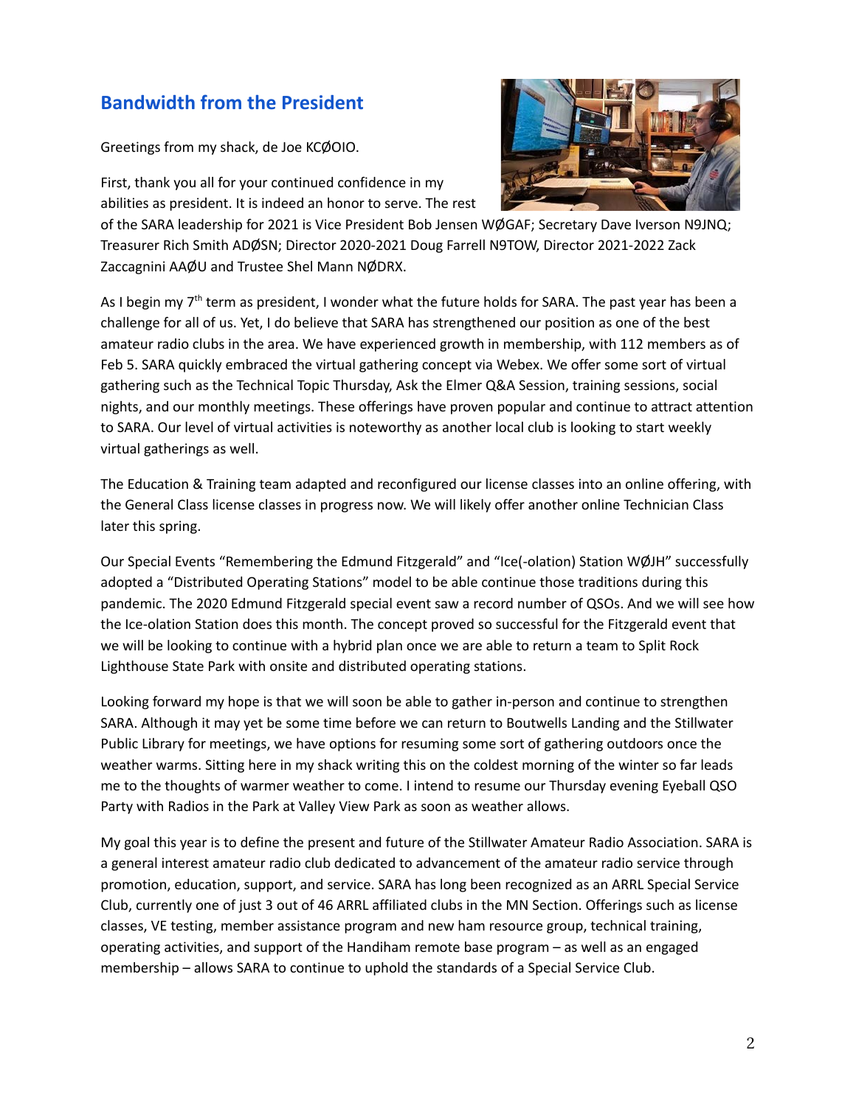### **Bandwidth from the President**

Greetings from my shack, de Joe KCØOIO.

First, thank you all for your continued confidence in my abilities as president. It is indeed an honor to serve. The rest



of the SARA leadership for 2021 is Vice President Bob Jensen WØGAF; Secretary Dave Iverson N9JNQ; Treasurer Rich Smith ADØSN; Director 2020-2021 Doug Farrell N9TOW, Director 2021-2022 Zack Zaccagnini AAØU and Trustee Shel Mann NØDRX.

As I begin my 7<sup>th</sup> term as president, I wonder what the future holds for SARA. The past year has been a challenge for all of us. Yet, I do believe that SARA has strengthened our position as one of the best amateur radio clubs in the area. We have experienced growth in membership, with 112 members as of Feb 5. SARA quickly embraced the virtual gathering concept via Webex. We offer some sort of virtual gathering such as the Technical Topic Thursday, Ask the Elmer Q&A Session, training sessions, social nights, and our monthly meetings. These offerings have proven popular and continue to attract attention to SARA. Our level of virtual activities is noteworthy as another local club is looking to start weekly virtual gatherings as well.

The Education & Training team adapted and reconfigured our license classes into an online offering, with the General Class license classes in progress now. We will likely offer another online Technician Class later this spring.

Our Special Events "Remembering the Edmund Fitzgerald" and "Ice(-olation) Station WØJH" successfully adopted a "Distributed Operating Stations" model to be able continue those traditions during this pandemic. The 2020 Edmund Fitzgerald special event saw a record number of QSOs. And we will see how the Ice-olation Station does this month. The concept proved so successful for the Fitzgerald event that we will be looking to continue with a hybrid plan once we are able to return a team to Split Rock Lighthouse State Park with onsite and distributed operating stations.

Looking forward my hope is that we will soon be able to gather in-person and continue to strengthen SARA. Although it may yet be some time before we can return to Boutwells Landing and the Stillwater Public Library for meetings, we have options for resuming some sort of gathering outdoors once the weather warms. Sitting here in my shack writing this on the coldest morning of the winter so far leads me to the thoughts of warmer weather to come. I intend to resume our Thursday evening Eyeball QSO Party with Radios in the Park at Valley View Park as soon as weather allows.

My goal this year is to define the present and future of the Stillwater Amateur Radio Association. SARA is a general interest amateur radio club dedicated to advancement of the amateur radio service through promotion, education, support, and service. SARA has long been recognized as an ARRL Special Service Club, currently one of just 3 out of 46 ARRL affiliated clubs in the MN Section. Offerings such as license classes, VE testing, member assistance program and new ham resource group, technical training, operating activities, and support of the Handiham remote base program – as well as an engaged membership – allows SARA to continue to uphold the standards of a Special Service Club.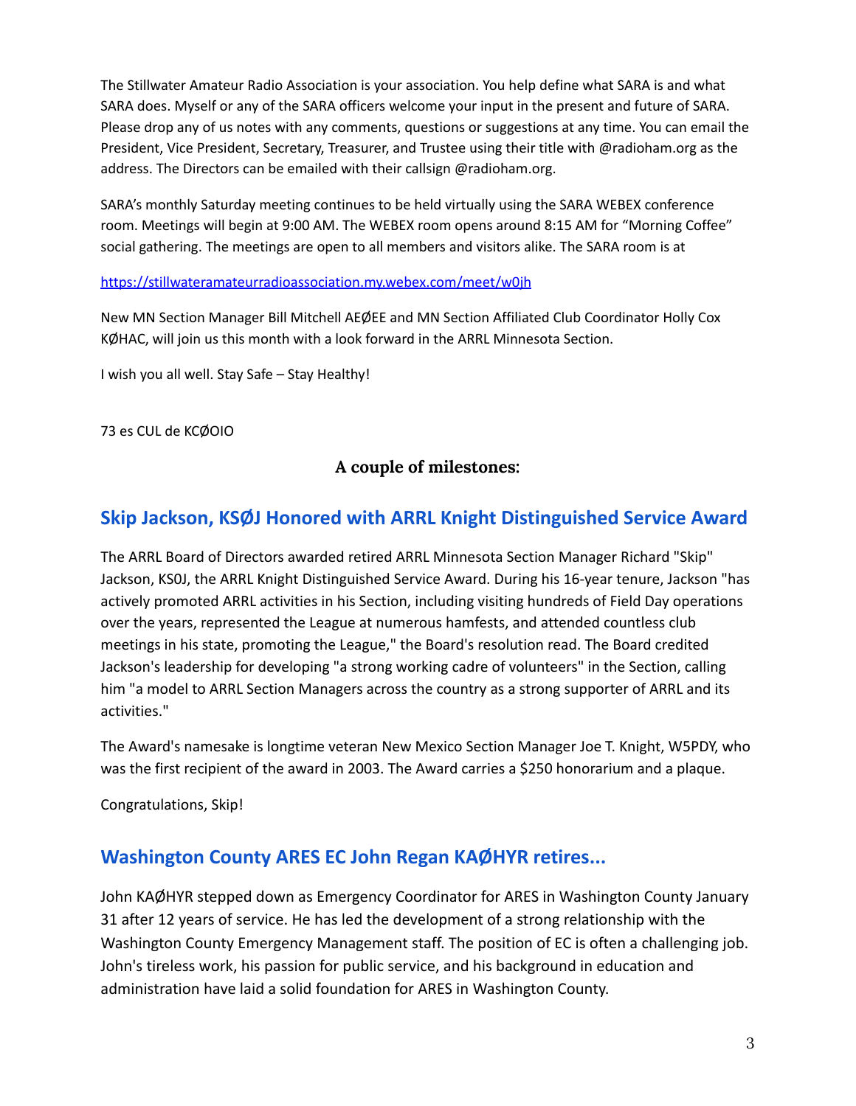The Stillwater Amateur Radio Association is your association. You help define what SARA is and what SARA does. Myself or any of the SARA officers welcome your input in the present and future of SARA. Please drop any of us notes with any comments, questions or suggestions at any time. You can email the President, Vice President, Secretary, Treasurer, and Trustee using their title with @radioham.org as the address. The Directors can be emailed with their callsign @radioham.org.

SARA's monthly Saturday meeting continues to be held virtually using the SARA WEBEX conference room. Meetings will begin at 9:00 AM. The WEBEX room opens around 8:15 AM for "Morning Coffee" social gathering. The meetings are open to all members and visitors alike. The SARA room is at

#### <https://stillwateramateurradioassociation.my.webex.com/meet/w0jh>

New MN Section Manager Bill Mitchell AEØEE and MN Section Affiliated Club Coordinator Holly Cox KØHAC, will join us this month with a look forward in the ARRL Minnesota Section.

I wish you all well. Stay Safe – Stay Healthy!

73 es CUL de KCØOIO

### **A couple of milestones:**

### **Skip Jackson, KSØJ Honored with ARRL Knight Distinguished Service Award**

The ARRL Board of Directors awarded retired ARRL Minnesota Section Manager Richard "Skip" Jackson, KS0J, the ARRL Knight Distinguished Service Award. During his 16-year tenure, Jackson "has actively promoted ARRL activities in his Section, including visiting hundreds of Field Day operations over the years, represented the League at numerous hamfests, and attended countless club meetings in his state, promoting the League," the Board's resolution read. The Board credited Jackson's leadership for developing "a strong working cadre of volunteers" in the Section, calling him "a model to ARRL Section Managers across the country as a strong supporter of ARRL and its activities."

The Award's namesake is longtime veteran New Mexico Section Manager Joe T. Knight, W5PDY, who was the first recipient of the award in 2003. The Award carries a \$250 honorarium and a plaque.

Congratulations, Skip!

### **Washington County ARES EC John Regan KAØHYR retires...**

John KAØHYR stepped down as Emergency Coordinator for ARES in Washington County January 31 after 12 years of service. He has led the development of a strong relationship with the Washington County Emergency Management staff. The position of EC is often a challenging job. John's tireless work, his passion for public service, and his background in education and administration have laid a solid foundation for ARES in Washington County.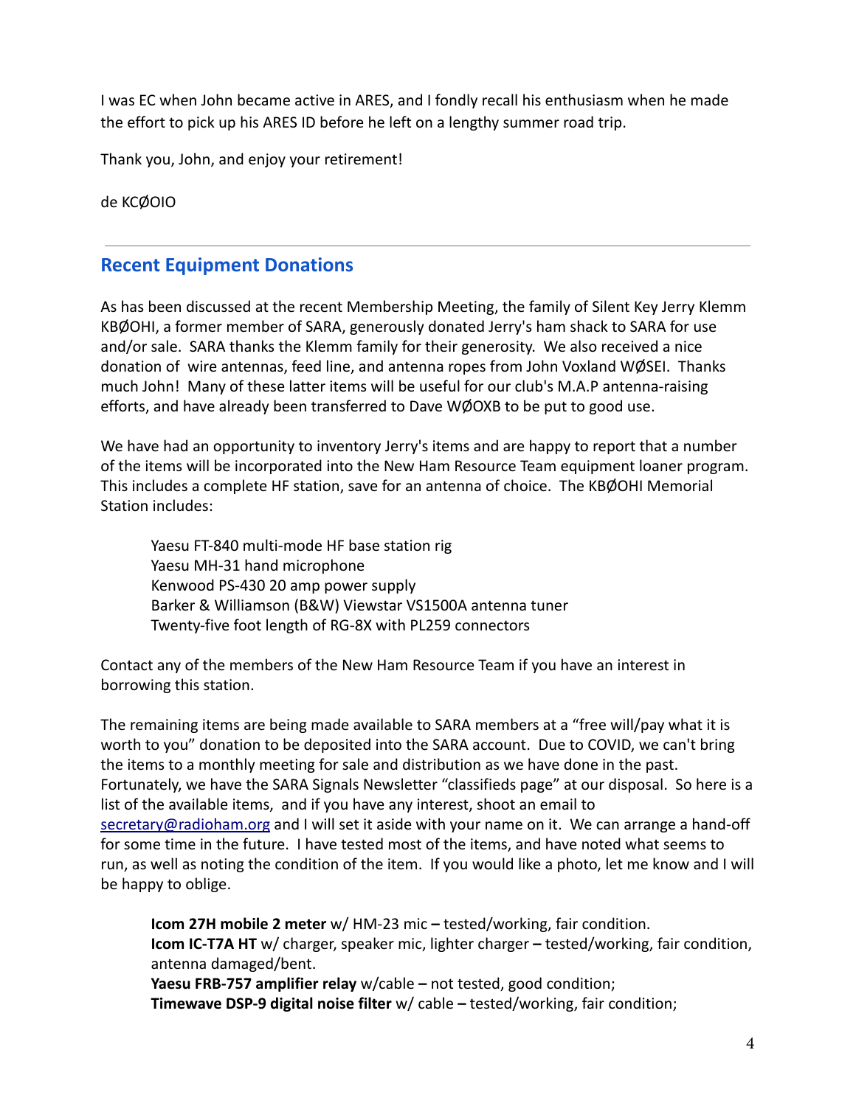I was EC when John became active in ARES, and I fondly recall his enthusiasm when he made the effort to pick up his ARES ID before he left on a lengthy summer road trip.

Thank you, John, and enjoy your retirement!

de KCØOIO

### **Recent Equipment Donations**

As has been discussed at the recent Membership Meeting, the family of Silent Key Jerry Klemm KBØOHI, a former member of SARA, generously donated Jerry's ham shack to SARA for use and/or sale. SARA thanks the Klemm family for their generosity. We also received a nice donation of wire antennas, feed line, and antenna ropes from John Voxland WØSEI. Thanks much John! Many of these latter items will be useful for our club's M.A.P antenna-raising efforts, and have already been transferred to Dave WØOXB to be put to good use.

We have had an opportunity to inventory Jerry's items and are happy to report that a number of the items will be incorporated into the New Ham Resource Team equipment loaner program. This includes a complete HF station, save for an antenna of choice. The KBØOHI Memorial Station includes:

Yaesu FT-840 multi-mode HF base station rig Yaesu MH-31 hand microphone Kenwood PS-430 20 amp power supply Barker & Williamson (B&W) Viewstar VS1500A antenna tuner Twenty-five foot length of RG-8X with PL259 connectors

Contact any of the members of the New Ham Resource Team if you have an interest in borrowing this station.

The remaining items are being made available to SARA members at a "free will/pay what it is worth to you" donation to be deposited into the SARA account. Due to COVID, we can't bring the items to a monthly meeting for sale and distribution as we have done in the past. Fortunately, we have the SARA Signals Newsletter "classifieds page" at our disposal. So here is a list of the available items, and if you have any interest, shoot an email to [secretary@radioham.org](mailto:secretary@radioham.org) and I will set it aside with your name on it. We can arrange a hand-off for some time in the future. I have tested most of the items, and have noted what seems to run, as well as noting the condition of the item. If you would like a photo, let me know and I will be happy to oblige.

**Icom 27H mobile 2 meter** w/ HM-23 mic **–** tested/working, fair condition. **Icom IC-T7A HT** w/ charger, speaker mic, lighter charger **–** tested/working, fair condition, antenna damaged/bent.

**Yaesu FRB-757 amplifier relay** w/cable **–** not tested, good condition; **Timewave DSP-9 digital noise filter** w/ cable **–** tested/working, fair condition;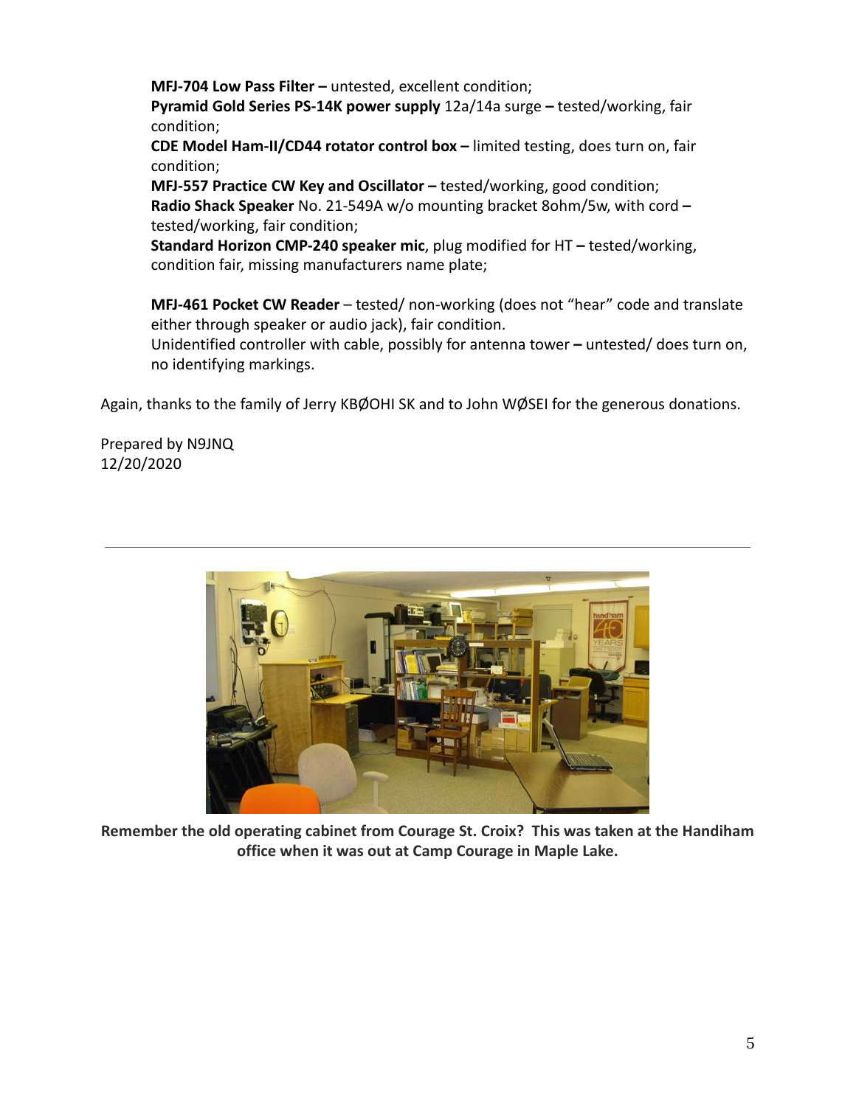**MFJ-704 Low Pass Filter –** untested, excellent condition;

**Pyramid Gold Series PS-14K power supply** 12a/14a surge **–** tested/working, fair condition;

**CDE Model Ham-II/CD44 rotator control box –** limited testing, does turn on, fair condition;

**MFJ-557 Practice CW Key and Oscillator –** tested/working, good condition; **Radio Shack Speaker** No. 21-549A w/o mounting bracket 8ohm/5w, with cord **–** tested/working, fair condition;

**Standard Horizon CMP-240 speaker mic**, plug modified for HT **–** tested/working, condition fair, missing manufacturers name plate;

**MFJ-461 Pocket CW Reader** – tested/ non-working (does not "hear" code and translate either through speaker or audio jack), fair condition.

Unidentified controller with cable, possibly for antenna tower **–** untested/ does turn on, no identifying markings.

Again, thanks to the family of Jerry KBØOHI SK and to John WØSEI for the generous donations.

Prepared by N9JNQ 12/20/2020



**Remember the old operating cabinet from Courage St. Croix? This was taken at the Handiham office when it was out at Camp Courage in Maple Lake.**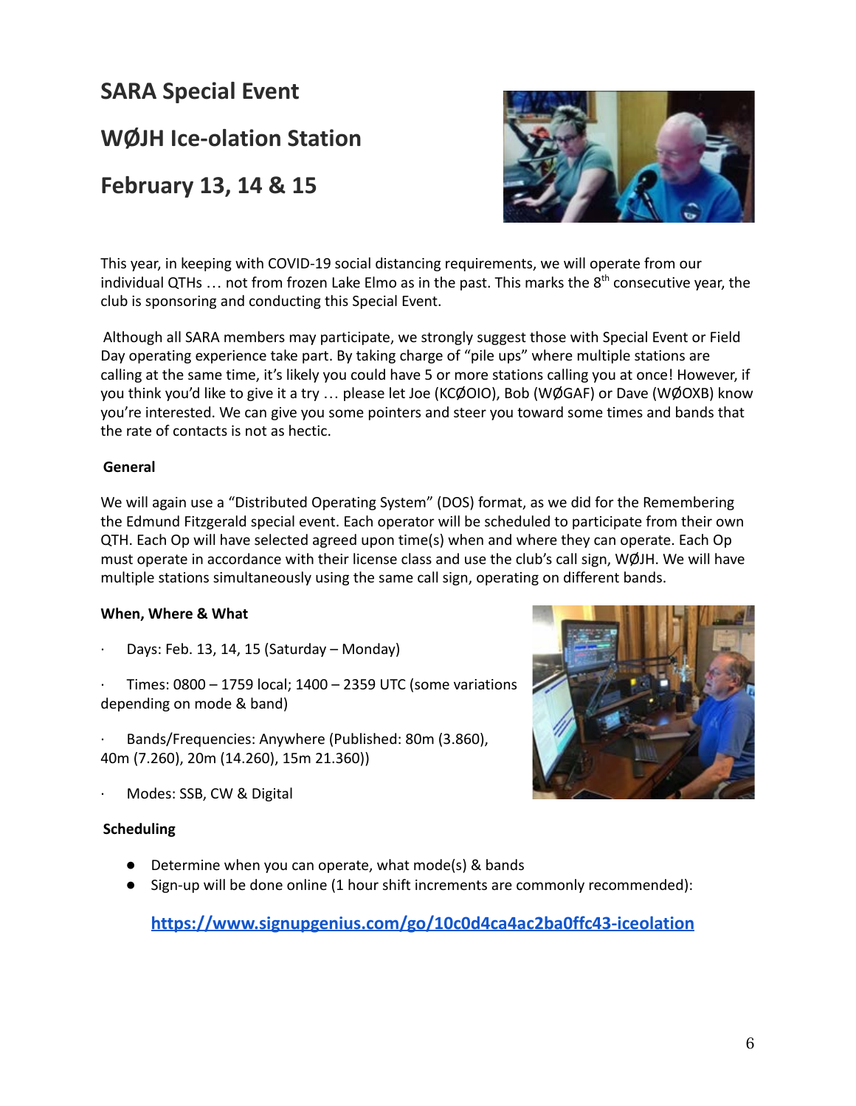**SARA Special Event**

**WØJH Ice-olation Station**

**February 13, 14 & 15**



This year, in keeping with COVID-19 social distancing requirements, we will operate from our individual QTHs  $\ldots$  not from frozen Lake Elmo as in the past. This marks the  $8<sup>th</sup>$  consecutive year, the club is sponsoring and conducting this Special Event.

Although all SARA members may participate, we strongly suggest those with Special Event or Field Day operating experience take part. By taking charge of "pile ups" where multiple stations are calling at the same time, it's likely you could have 5 or more stations calling you at once! However, if you think you'd like to give it a try … please let Joe (KCØOIO), Bob (WØGAF) or Dave (WØOXB) know you're interested. We can give you some pointers and steer you toward some times and bands that the rate of contacts is not as hectic.

#### **General**

We will again use a "Distributed Operating System" (DOS) format, as we did for the Remembering the Edmund Fitzgerald special event. Each operator will be scheduled to participate from their own QTH. Each Op will have selected agreed upon time(s) when and where they can operate. Each Op must operate in accordance with their license class and use the club's call sign, WØJH. We will have multiple stations simultaneously using the same call sign, operating on different bands.

#### **When, Where & What**

- · Days: Feb. 13, 14, 15 (Saturday Monday)
- Times:  $0800 1759$  local;  $1400 2359$  UTC (some variations depending on mode & band)
- Bands/Frequencies: Anywhere (Published: 80m (3.860), 40m (7.260), 20m (14.260), 15m 21.360))
- Modes: SSB, CW & Digital

#### **Scheduling**

- Determine when you can operate, what mode(s) & bands
- Sign-up will be done online (1 hour shift increments are commonly recommended):

**<https://www.signupgenius.com/go/10c0d4ca4ac2ba0ffc43-iceolation>**

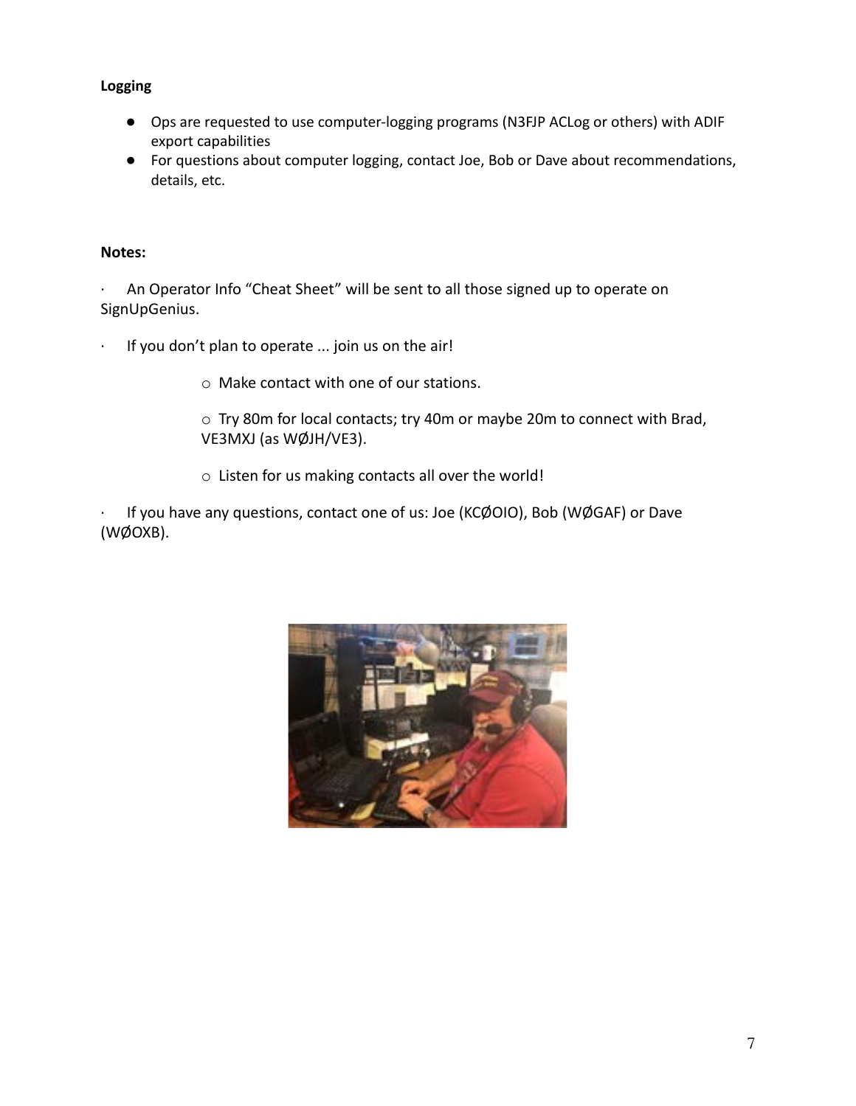#### **Logging**

- Ops are requested to use computer-logging programs (N3FJP ACLog or others) with ADIF export capabilities
- For questions about computer logging, contact Joe, Bob or Dave about recommendations, details, etc.

#### **Notes:**

An Operator Info "Cheat Sheet" will be sent to all those signed up to operate on SignUpGenius.

- If you don't plan to operate ... join us on the air!
	- o Make contact with one of our stations.
	- o Try 80m for local contacts; try 40m or maybe 20m to connect with Brad, VE3MXJ (as WØJH/VE3).
	- o Listen for us making contacts all over the world!

· If you have any questions, contact one of us: Joe (KCØOIO), Bob (WØGAF) or Dave (WØOXB).

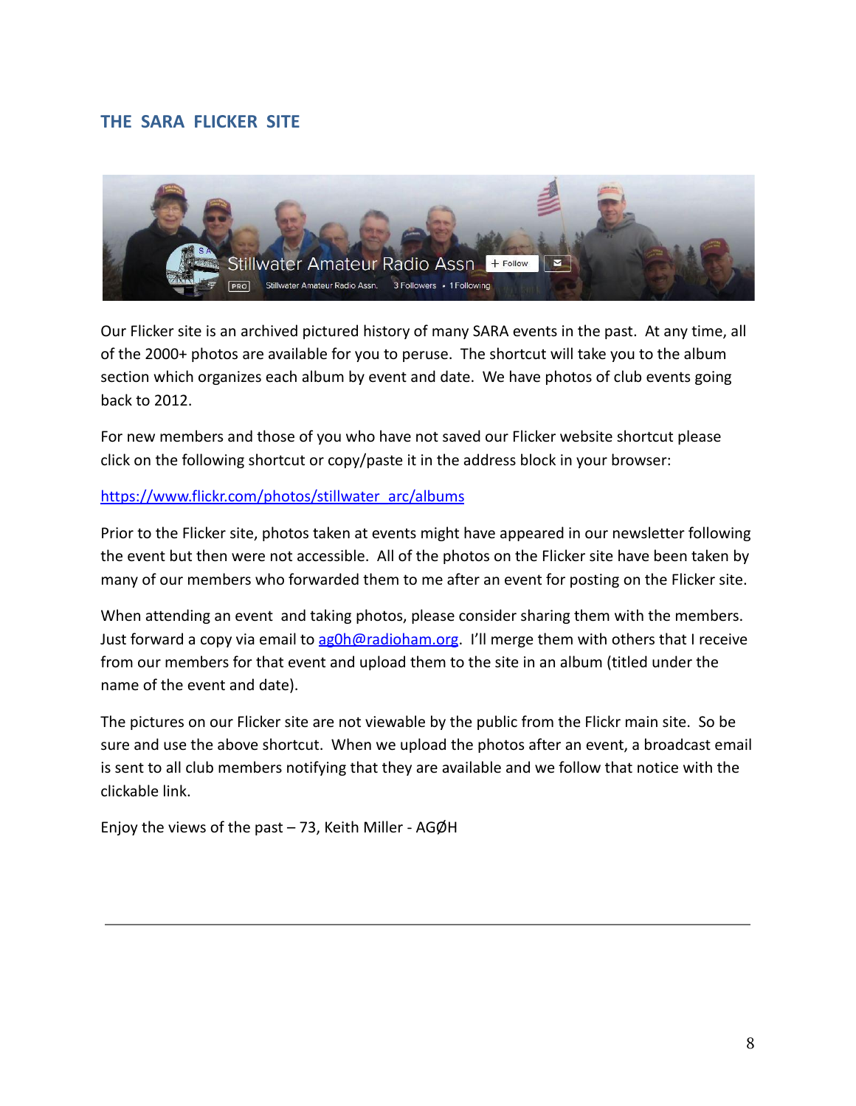#### **THE SARA FLICKER SITE**



Our Flicker site is an archived pictured history of many SARA events in the past. At any time, all of the 2000+ photos are available for you to peruse. The shortcut will take you to the album section which organizes each album by event and date. We have photos of club events going back to 2012.

For new members and those of you who have not saved our Flicker website shortcut please click on the following shortcut or copy/paste it in the address block in your browser:

#### [https://www.flickr.com/photos/stillwater\\_arc/albums](https://www.flickr.com/photos/stillwater_arc/albums)

Prior to the Flicker site, photos taken at events might have appeared in our newsletter following the event but then were not accessible. All of the photos on the Flicker site have been taken by many of our members who forwarded them to me after an event for posting on the Flicker site.

When attending an event and taking photos, please consider sharing them with the members. Just forward a copy via email to [ag0h@radioham.org](mailto:ag0h@radioham.org). I'll merge them with others that I receive from our members for that event and upload them to the site in an album (titled under the name of the event and date).

The pictures on our Flicker site are not viewable by the public from the Flickr main site. So be sure and use the above shortcut. When we upload the photos after an event, a broadcast email is sent to all club members notifying that they are available and we follow that notice with the clickable link.

Enjoy the views of the past – 73, Keith Miller - AGØH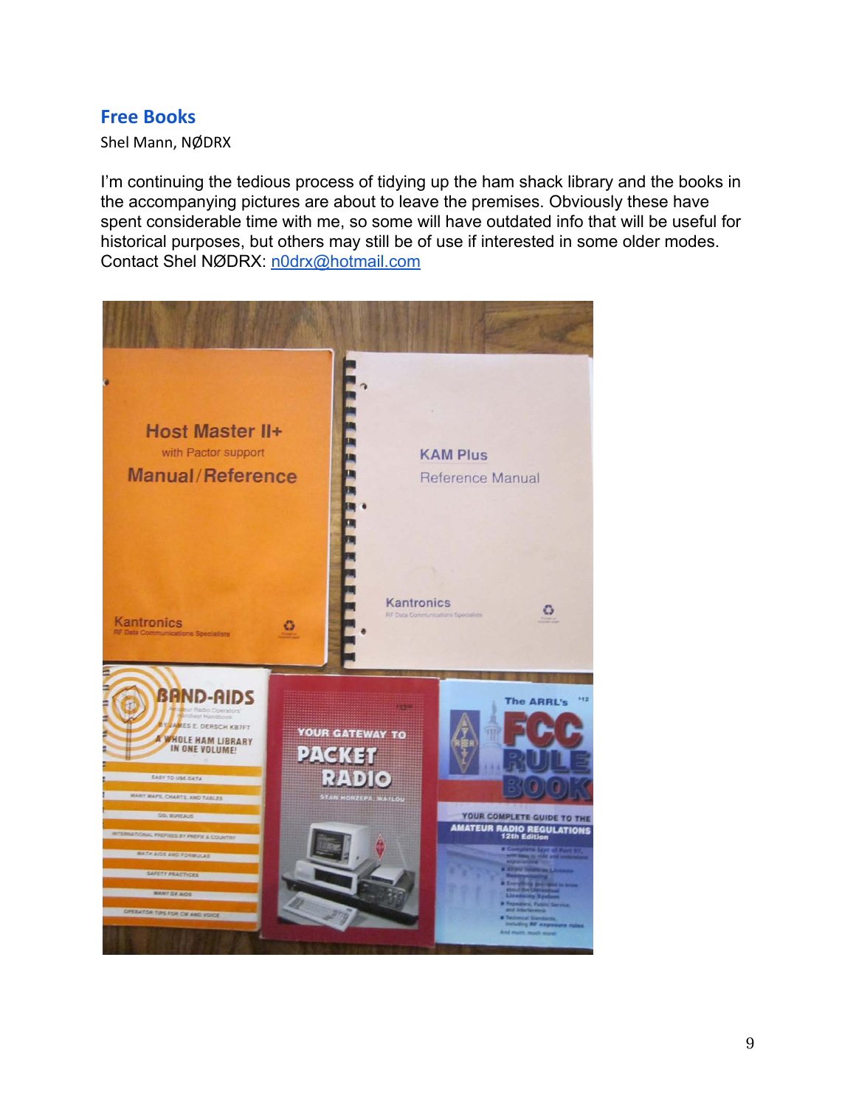### **Free Books**

Shel Mann, NØDRX

I'm continuing the tedious process of tidying up the ham shack library and the books in the accompanying pictures are about to leave the premises. Obviously these have spent considerable time with me, so some will have outdated info that will be useful for historical purposes, but others may still be of use if interested in some older modes. Contact Shel NØDRX: [n0drx@hotmail.com](mailto:n0drx@hotmail.com)

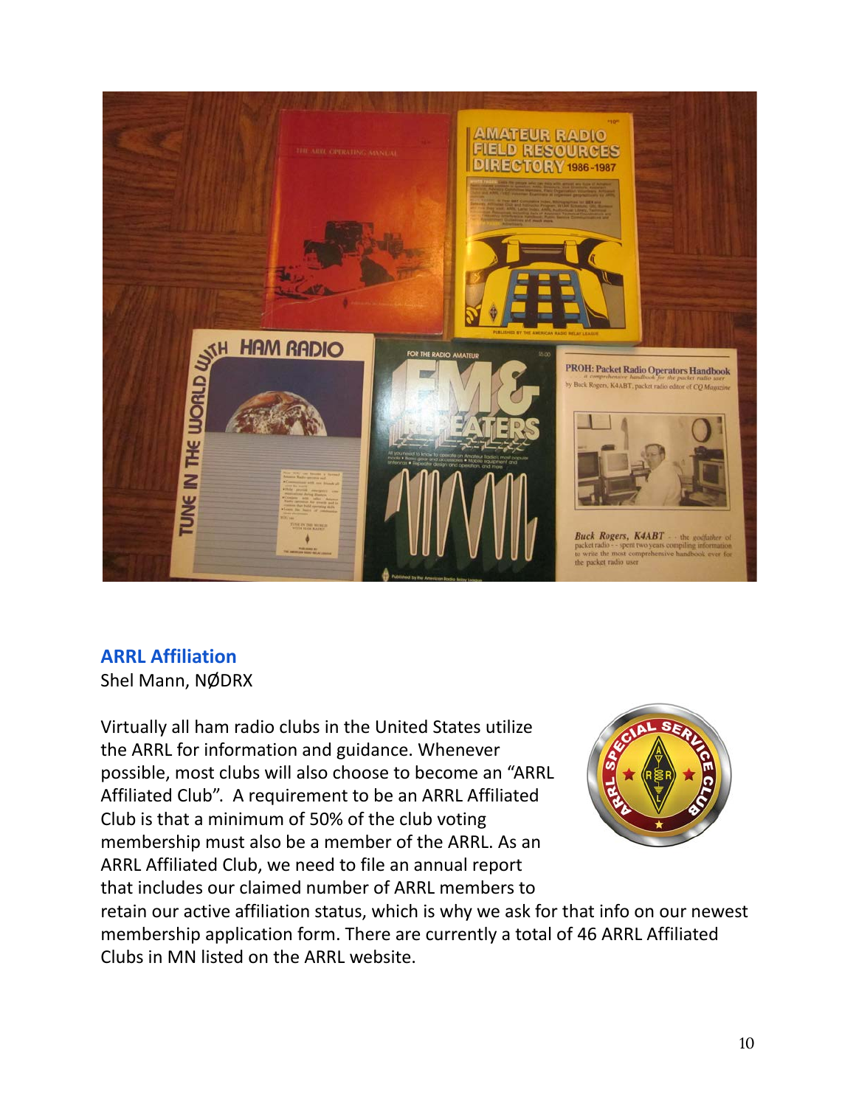

# **ARRL Affiliation**

Shel Mann, NØDRX

Virtually all ham radio clubs in the United States utilize the ARRL for information and guidance. Whenever possible, most clubs will also choose to become an "ARRL Affiliated Club". A requirement to be an ARRL Affiliated Club is that a minimum of 50% of the club voting membership must also be a member of the ARRL. As an ARRL Affiliated Club, we need to file an annual report that includes our claimed number of ARRL members to



retain our active affiliation status, which is why we ask for that info on our newest membership application form. There are currently a total of 46 ARRL Affiliated Clubs in MN listed on the ARRL website.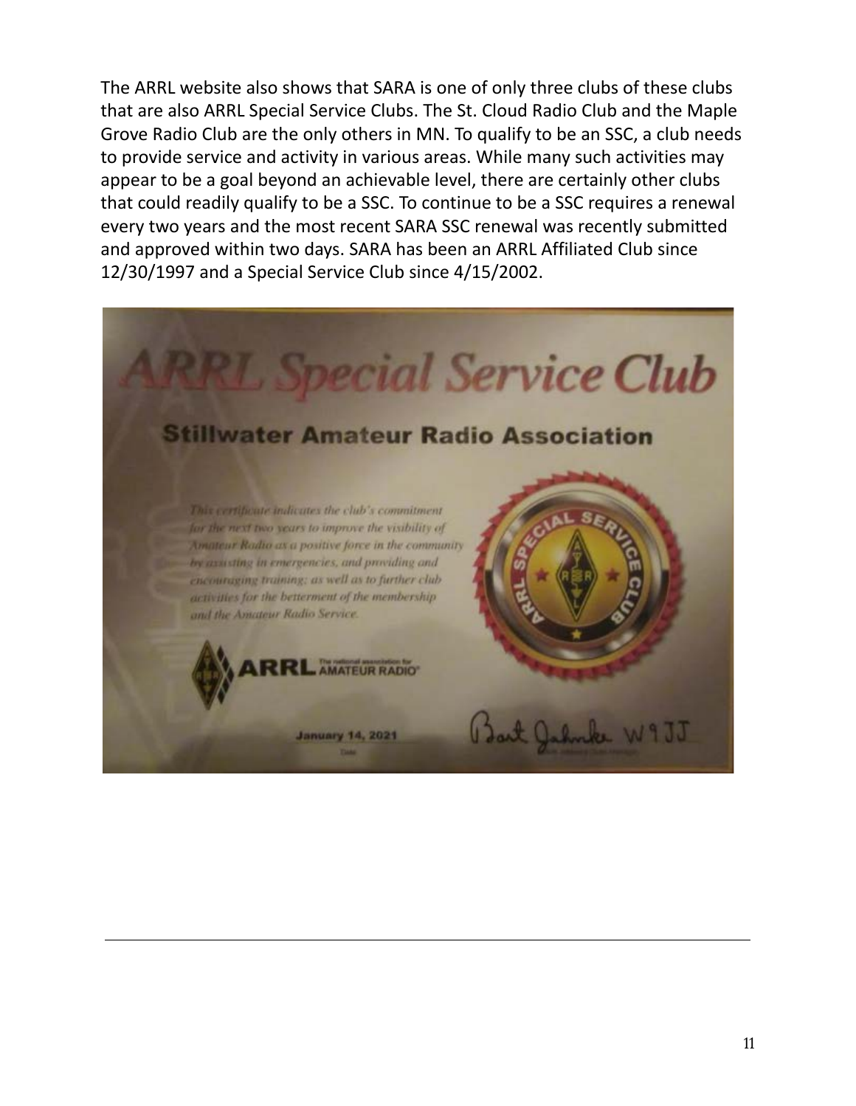The ARRL website also shows that SARA is one of only three clubs of these clubs that are also ARRL Special Service Clubs. The St. Cloud Radio Club and the Maple Grove Radio Club are the only others in MN. To qualify to be an SSC, a club needs to provide service and activity in various areas. While many such activities may appear to be a goal beyond an achievable level, there are certainly other clubs that could readily qualify to be a SSC. To continue to be a SSC requires a renewal every two years and the most recent SARA SSC renewal was recently submitted and approved within two days. SARA has been an ARRL Affiliated Club since 12/30/1997 and a Special Service Club since 4/15/2002.

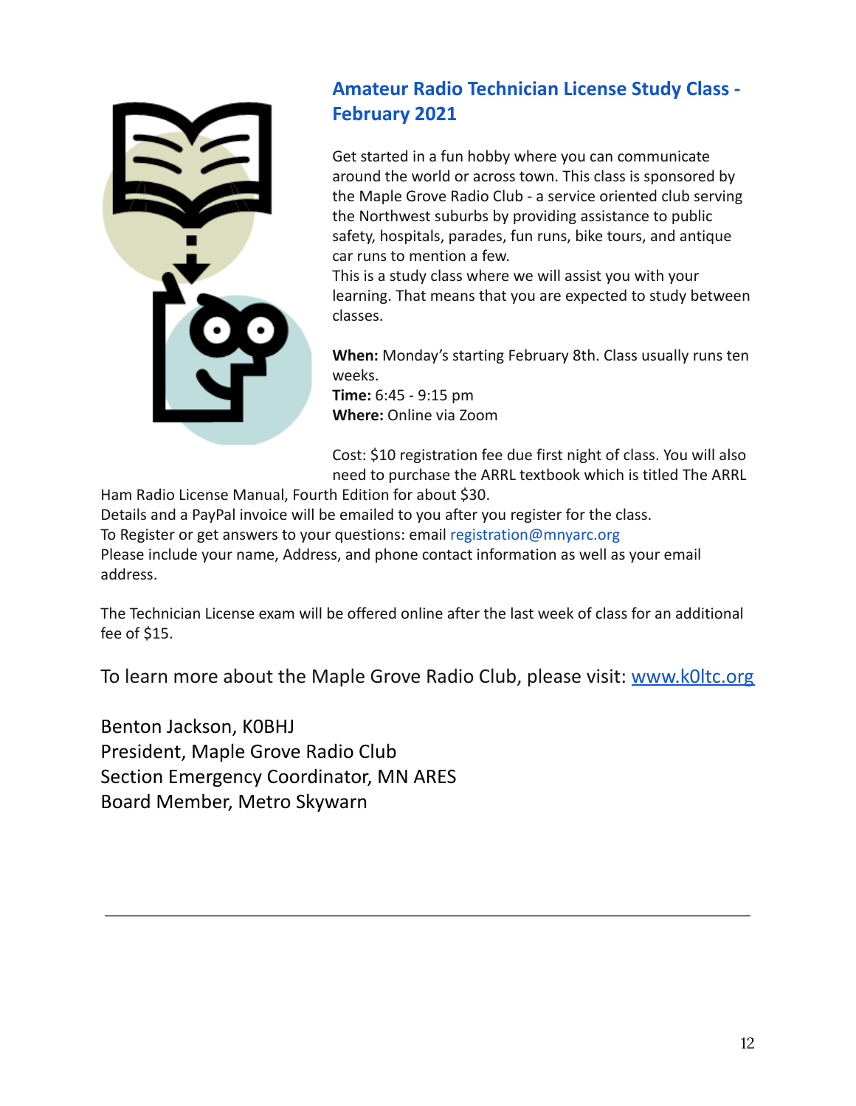

# **Amateur Radio Technician License Study Class - February 2021**

Get started in a fun hobby where you can communicate around the world or across town. This class is sponsored by the Maple Grove Radio Club - a service oriented club serving the Northwest suburbs by providing assistance to public safety, hospitals, parades, fun runs, bike tours, and antique car runs to mention a few.

This is a study class where we will assist you with your learning. That means that you are expected to study between classes.

**When:** Monday's starting February 8th. Class usually runs ten weeks.

**Time:** 6:45 - 9:15 pm **Where:** Online via Zoom

Cost: \$10 registration fee due first night of class. You will also need to purchase the ARRL textbook which is titled The ARRL

Ham Radio License Manual, Fourth Edition for about \$30.

Details and a PayPal invoice will be emailed to you after you register for the class. To Register or get answers to your questions: email registration@mnyarc.org Please include your name, Address, and phone contact information as well as your email address.

The Technician License exam will be offered online after the last week of class for an additional fee of \$15.

To learn more about the Maple Grove Radio Club, please visit: [www.k0ltc.org](http://www.k0ltc.org/)

Benton Jackson, K0BHJ President, Maple Grove Radio Club Section Emergency Coordinator, MN ARES Board Member, Metro Skywarn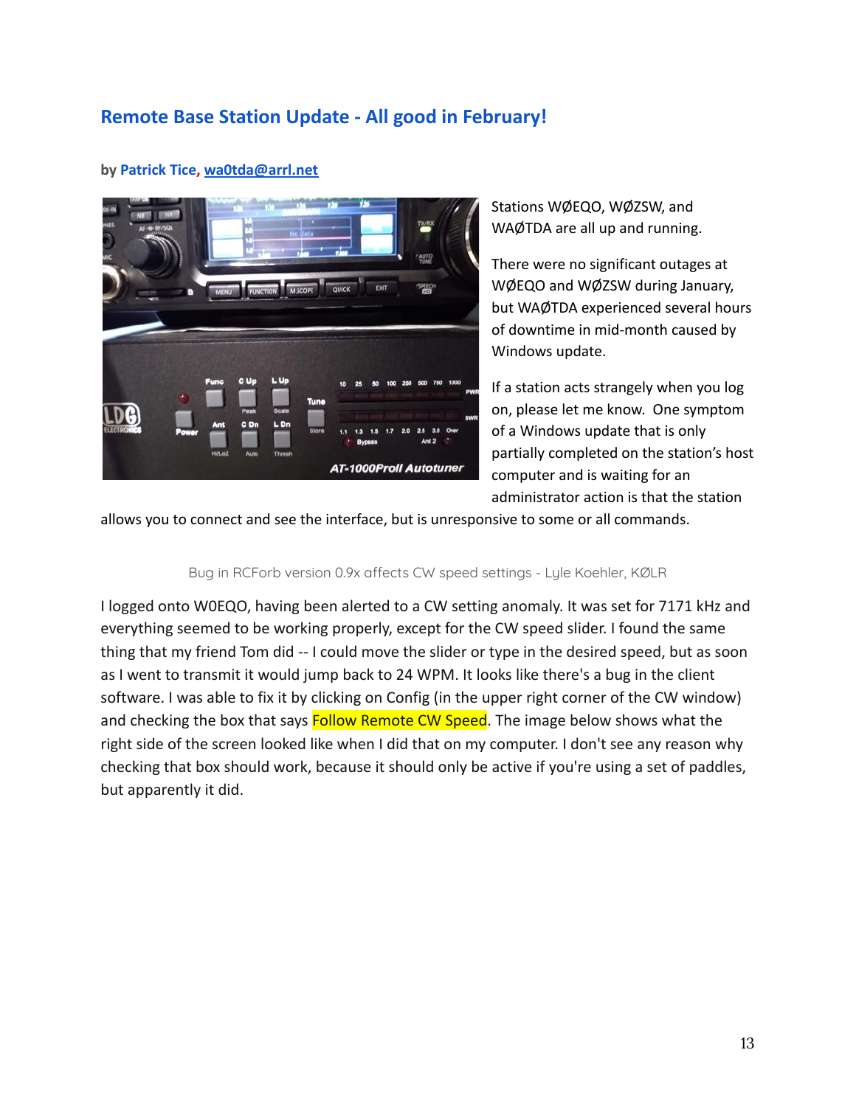## **Remote Base Station Update - All good in February!**



#### **by Patrick Tice, [wa0tda@arrl.net](mailto:wa0tda@arrl.net)**

Stations WØEQO, WØZSW, and WAØTDA are all up and running.

There were no significant outages at WØEQO and WØZSW during January, but WAØTDA experienced several hours of downtime in mid-month caused by Windows update.

If a station acts strangely when you log on, please let me know. One symptom of a Windows update that is only partially completed on the station's host computer and is waiting for an administrator action is that the station

allows you to connect and see the interface, but is unresponsive to some or all commands.

#### Bug in RCForb version 0.9x affects CW speed settings - Lyle Koehler, KØLR

I logged onto W0EQO, having been alerted to a CW setting anomaly. It was set for 7171 kHz and everything seemed to be working properly, except for the CW speed slider. I found the same thing that my friend Tom did -- I could move the slider or type in the desired speed, but as soon as I went to transmit it would jump back to 24 WPM. It looks like there's a bug in the client software. I was able to fix it by clicking on Config (in the upper right corner of the CW window) and checking the box that says **Follow Remote CW Speed**. The image below shows what the right side of the screen looked like when I did that on my computer. I don't see any reason why checking that box should work, because it should only be active if you're using a set of paddles, but apparently it did.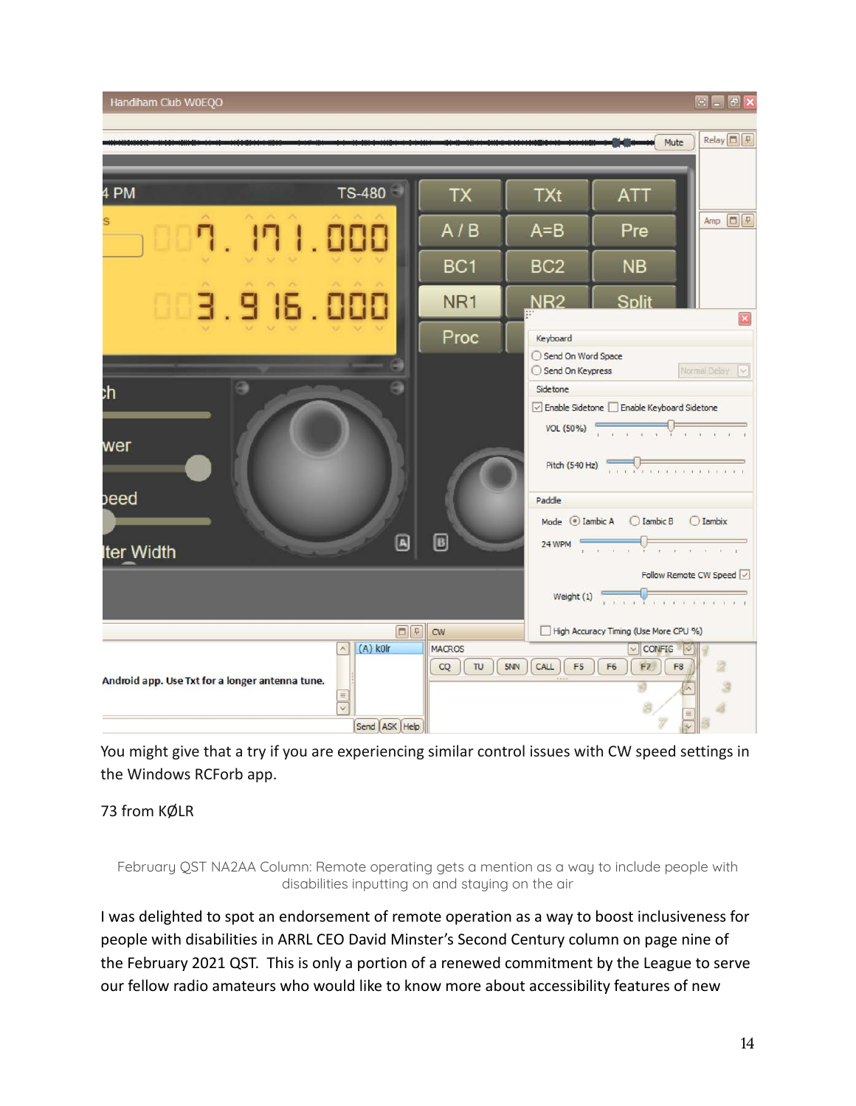

You might give that a try if you are experiencing similar control issues with CW speed settings in the Windows RCForb app.

#### 73 from KØLR

February QST NA2AA Column: Remote operating gets a mention as a way to include people with disabilities inputting on and staying on the air

I was delighted to spot an endorsement of remote operation as a way to boost inclusiveness for people with disabilities in ARRL CEO David Minster's Second Century column on page nine of the February 2021 QST. This is only a portion of a renewed commitment by the League to serve our fellow radio amateurs who would like to know more about accessibility features of new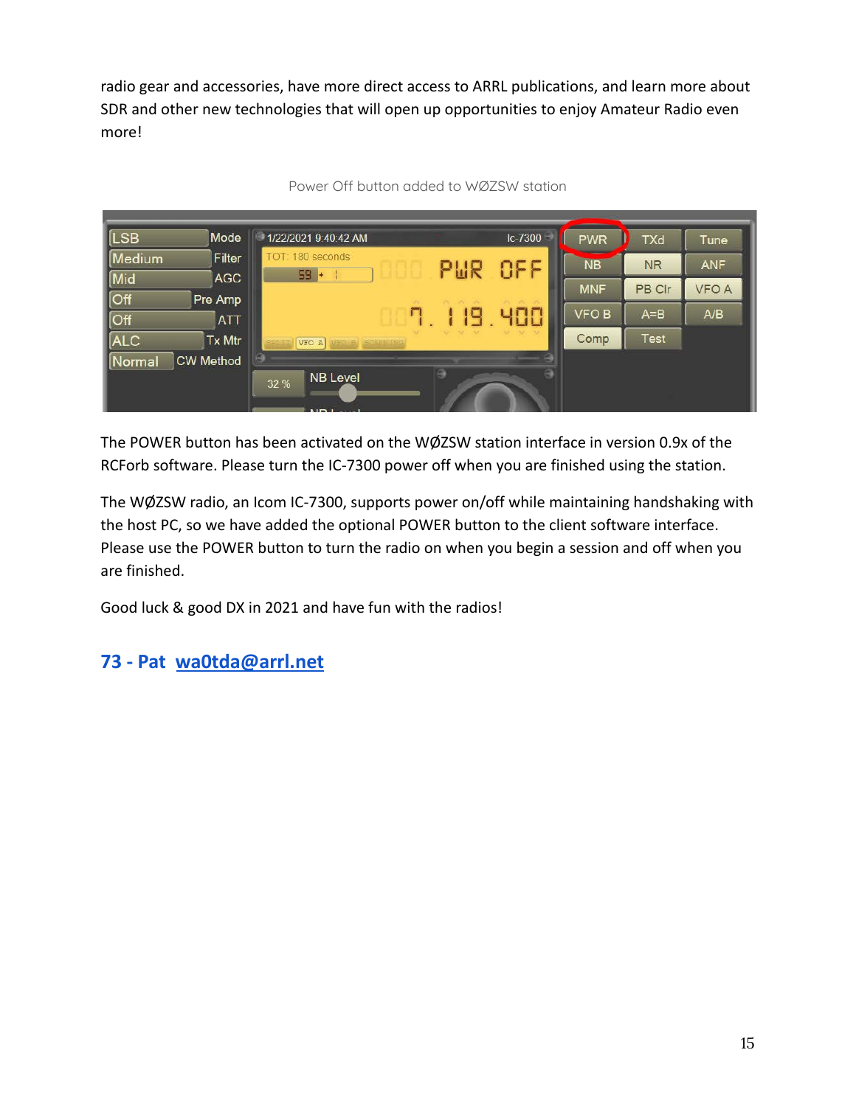radio gear and accessories, have more direct access to ARRL publications, and learn more about SDR and other new technologies that will open up opportunities to enjoy Amateur Radio even more!



Power Off button added to WØZSW station

The POWER button has been activated on the WØZSW station interface in version 0.9x of the RCForb software. Please turn the IC-7300 power off when you are finished using the station.

The WØZSW radio, an Icom IC-7300, supports power on/off while maintaining handshaking with the host PC, so we have added the optional POWER button to the client software interface. Please use the POWER button to turn the radio on when you begin a session and off when you are finished.

Good luck & good DX in 2021 and have fun with the radios!

### **73 - Pat [wa0tda@arrl.net](mailto:wa0tda@arrl.net)**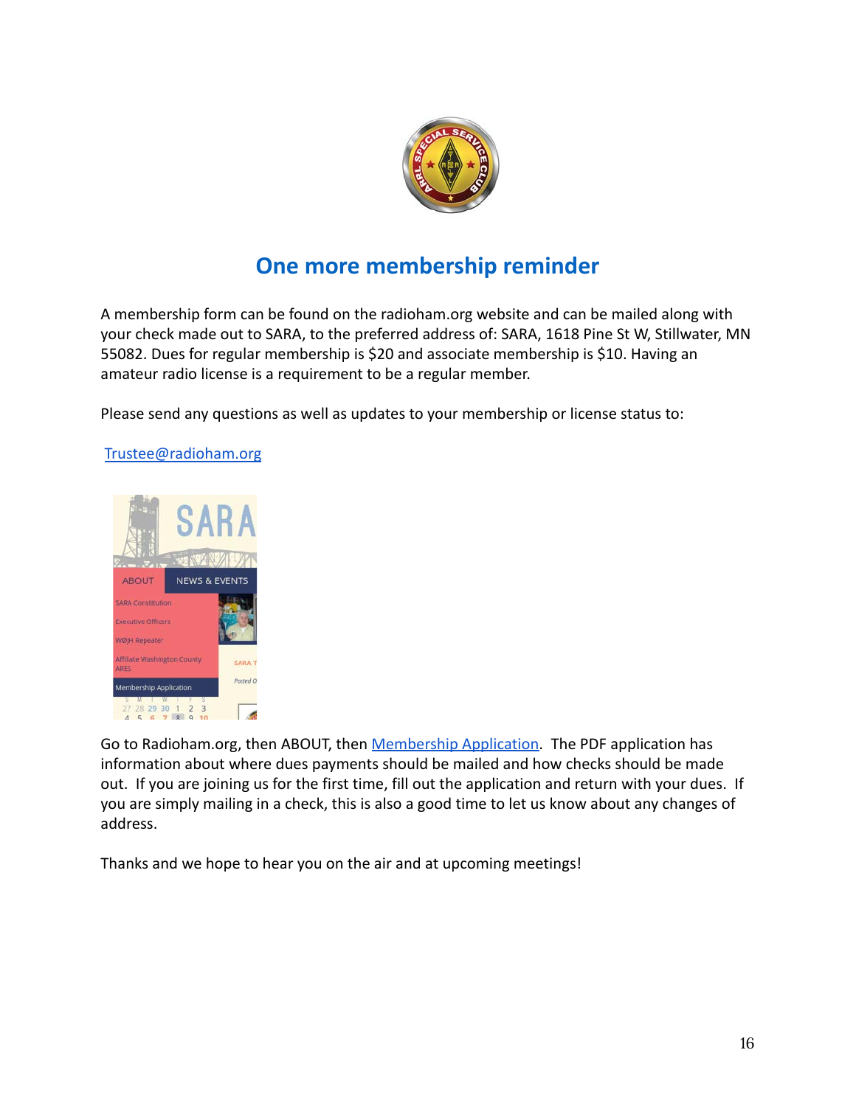

# **One more membership reminder**

A membership form can be found on the radioham.org website and can be mailed along with your check made out to SARA, to the preferred address of: SARA, 1618 Pine St W, Stillwater, MN 55082. Dues for regular membership is \$20 and associate membership is \$10. Having an amateur radio license is a requirement to be a regular member.

Please send any questions as well as updates to your membership or license status to:

#### [Trustee@radioham.org](mailto:Trustee@radioham.org)



Go to Radioham.org, then ABOUT, then [Membership Application.](http://www.radioham.org/radioham_files/wp-content/uploads/2018/01/MemberAppForm1801_Fillable.pdf) The PDF application has information about where dues payments should be mailed and how checks should be made out. If you are joining us for the first time, fill out the application and return with your dues. If you are simply mailing in a check, this is also a good time to let us know about any changes of address.

Thanks and we hope to hear you on the air and at upcoming meetings!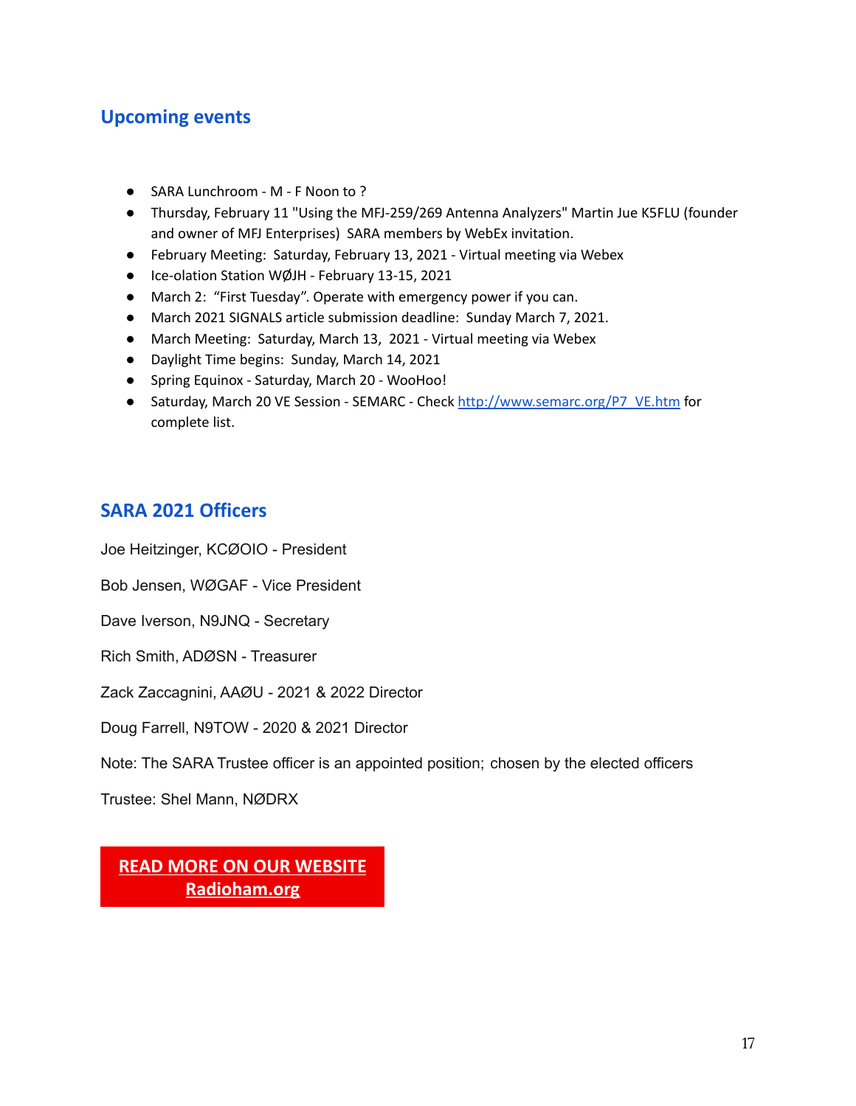### **Upcoming events**

- SARA Lunchroom M F Noon to ?
- Thursday, February 11 "Using the MFJ-259/269 Antenna Analyzers" Martin Jue K5FLU (founder and owner of MFJ Enterprises) SARA members by WebEx invitation.
- February Meeting: Saturday, February 13, 2021 Virtual meeting via Webex
- Ice-olation Station WØJH February 13-15, 2021
- March 2: "First Tuesday". Operate with emergency power if you can.
- March 2021 SIGNALS article submission deadline: Sunday March 7, 2021.
- March Meeting: Saturday, March 13, 2021 Virtual meeting via Webex
- Daylight Time begins: Sunday, March 14, 2021
- Spring Equinox Saturday, March 20 WooHoo!
- Saturday, March 20 VE Session SEMARC Check [http://www.semarc.org/P7\\_VE.htm](http://www.semarc.org/P7_VE.htm) for complete list.

### **SARA 2021 Officers**

Joe Heitzinger, KCØOIO - President

Bob Jensen, WØGAF - Vice President

Dave Iverson, N9JNQ - Secretary

Rich Smith, ADØSN - Treasurer

Zack Zaccagnini, AAØU - 2021 & 2022 Director

Doug Farrell, N9TOW - 2020 & 2021 Director

Note: The SARA Trustee officer is an appointed position; chosen by the elected officers

Trustee: Shel Mann, NØDRX

**[READ MORE ON OUR WEBSITE](http://www.radioham.org/) Radioham.org**